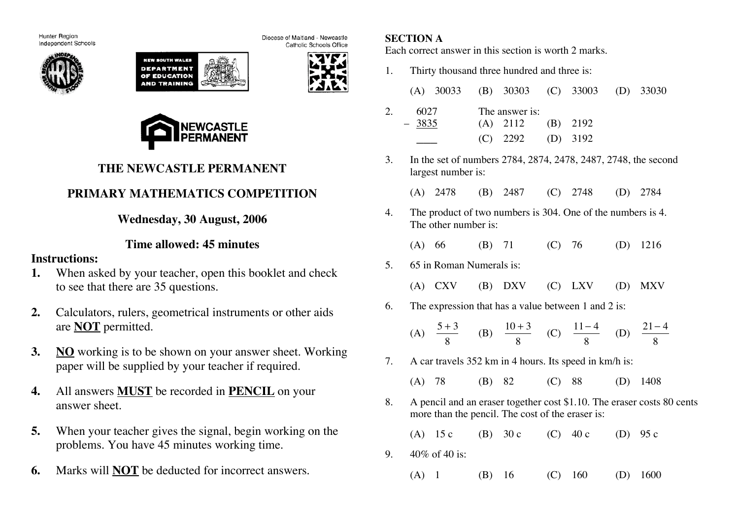Hunter Region Independent Schools







Catholic Schools Office

Diocese of Maitland - Newcastle



# **THE NEWCASTLE PERMANENT**

# **PRIMARY MATHEMATICS COMPETITION**

**Wednesday, 30 August, 2006**

## **Time allowed: 45 minutes**

#### **Instructions:**

- **1.** When asked by your teacher, open this booklet and check to see that there are 35 questions.
- **2.** Calculators, rulers, geometrical instruments or other aids are **NOT** permitted.
- **3. NO** working is to be shown on your answer sheet. Working paper will be supplied by your teacher if required.
- **4.** All answers **MUST** be recorded in **PENCIL** on your answer sheet.
- **5.** When your teacher gives the signal, begin working on the problems. You have 45 minutes working time.
- **6.** Marks will **NOT** be deducted for incorrect answers.

### **SECTION A**

Each correct answer in this section is worth 2 marks.

1. Thirty thousand three hundred and three is:

|    |                                                                                                                            | (A) $30033$ (B) $30303$                                                              |  |                                            |            | $(C)$ 33003  |     | $(D)$ 33030 |  |
|----|----------------------------------------------------------------------------------------------------------------------------|--------------------------------------------------------------------------------------|--|--------------------------------------------|------------|--------------|-----|-------------|--|
| 2. | $-3835$                                                                                                                    | 6027                                                                                 |  | The answer is:<br>$(A)$ 2112<br>$(C)$ 2292 | (B)<br>(D) | 2192<br>3192 |     |             |  |
| 3. |                                                                                                                            | In the set of numbers 2784, 2874, 2478, 2487, 2748, the second<br>largest number is: |  |                                            |            |              |     |             |  |
|    |                                                                                                                            | (A) 2478 (B) 2487 (C) 2748 (D) 2784                                                  |  |                                            |            |              |     |             |  |
| 4. |                                                                                                                            | The product of two numbers is 304. One of the numbers is 4.<br>The other number is:  |  |                                            |            |              |     |             |  |
|    |                                                                                                                            | (A) 66 (B) 71 (C) 76 (D)                                                             |  |                                            |            |              |     | 1216        |  |
| 5. | 65 in Roman Numerals is:                                                                                                   |                                                                                      |  |                                            |            |              |     |             |  |
|    |                                                                                                                            | (A) $CXY$ (B) $DXV$ (C) $LXY$                                                        |  |                                            |            |              | (D) | <b>MXV</b>  |  |
| 6. |                                                                                                                            | The expression that has a value between 1 and 2 is:                                  |  |                                            |            |              |     |             |  |
|    |                                                                                                                            | (A) $\frac{5+3}{8}$ (B) $\frac{10+3}{8}$ (C) $\frac{11-4}{8}$ (D) $\frac{21-4}{8}$   |  |                                            |            |              |     |             |  |
| 7. | A car travels 352 km in 4 hours. Its speed in km/h is:                                                                     |                                                                                      |  |                                            |            |              |     |             |  |
|    | $(A)$ 78                                                                                                                   |                                                                                      |  | $(B)$ 82 $(C)$ 88                          |            |              | (D) | 1408        |  |
| 8. | A pencil and an eraser together cost \$1.10. The eraser costs 80 cents<br>more than the pencil. The cost of the eraser is: |                                                                                      |  |                                            |            |              |     |             |  |
|    | (A)                                                                                                                        | 15c                                                                                  |  | (B) $30c$ (C) $40c$ (D)                    |            |              |     | 95 с        |  |
| 9. |                                                                                                                            | 40\% of 40 is:                                                                       |  |                                            |            |              |     |             |  |
|    | $(A)$ 1                                                                                                                    |                                                                                      |  | $(B)$ 16                                   |            | $(C)$ 160    |     | $(D)$ 1600  |  |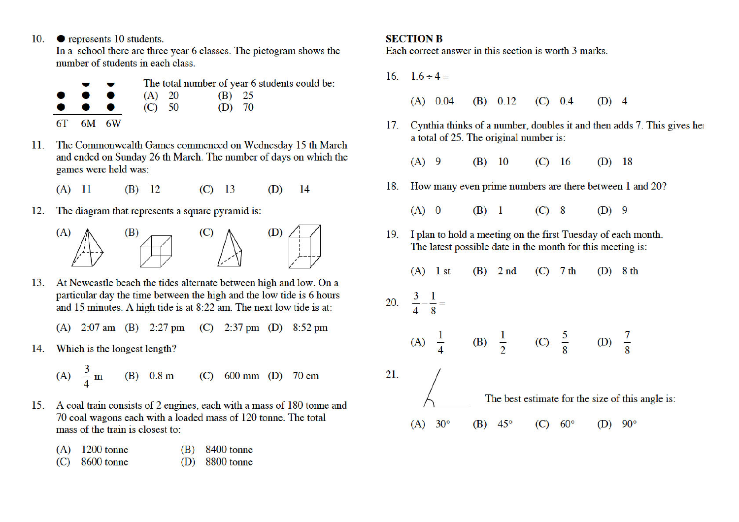10.  $\bullet$  represents 10 students.

In a school there are three year 6 classes. The pictogram shows the number of students in each class.

|                                                                          | $\blacksquare$ | The total number of year 6 students could be: |  |          |  |  |
|--------------------------------------------------------------------------|----------------|-----------------------------------------------|--|----------|--|--|
| $\bullet\hspace{10pt}\bullet\hspace{10pt}\bullet\hspace{10pt}$           |                | $(A)$ 20                                      |  | $(B)$ 25 |  |  |
| $\bullet\hspace{0.4mm}\bullet\hspace{0.4mm}\bullet\hspace{0.4mm}\bullet$ |                | (C) 50                                        |  | $(D)$ 70 |  |  |
| $6T$ $6M$ $6W$                                                           |                |                                               |  |          |  |  |

- 11. The Commonwealth Games commenced on Wednesday 15 th March and ended on Sunday 26 th March. The number of days on which the games were held was:
	- $(B)$  12  $(C)$  13 14  $(A)$  11  $(D)$
- 12. The diagram that represents a square pyramid is:



- 13. At Newcastle beach the tides alternate between high and low. On a particular day the time between the high and the low tide is 6 hours and 15 minutes. A high tide is at 8:22 am. The next low tide is at:
	- (A)  $2:07$  am (B)  $2:27$  pm (C)  $2:37$  pm (D)  $8:52$  pm
- 14. Which is the longest length?

 $\overline{\mathcal{L}}$ 

A) 
$$
\frac{3}{4}
$$
 m (B) 0.8 m (C) 600 mm (D) 70 cm

A coal train consists of 2 engines, each with a mass of 180 tonne and 15. 70 coal wagons each with a loaded mass of 120 tonne. The total mass of the train is closest to:

| $(A)$ 1200 tonne | $(B)$ 8400 tonne |
|------------------|------------------|
|------------------|------------------|

 $(C)$  8600 tonne 8800 tonne (D)

#### **SECTION B**

Each correct answer in this section is worth 3 marks.

16.  $1.6 \div 4 =$  $(A)$  0.04  $(B)$  0.12  $(C) 0.4$  $(D)$  4 17. Cynthia thinks of a number, doubles it and then adds 7. This gives her a total of 25. The original number is:  $(A)$  9  $(B)$  10  $(C)$  16  $(D)$  18 18. How many even prime numbers are there between 1 and 20?  $(A)$  0  $(B)$  1  $(C)$  8  $(D)$  9 19. I plan to hold a meeting on the first Tuesday of each month. The latest possible date in the month for this meeting is:  $(A)$  1 st  $(B)$  2 nd  $(C)$  7 th  $(D)$  8 th 20.  $rac{3}{4} - \frac{1}{8} =$ (A)  $\frac{1}{4}$ (B)  $\frac{1}{2}$  (C)  $\frac{5}{8}$  (D)  $\frac{7}{8}$ 21. The best estimate for the size of this angle is:  $(A) 30^{\circ}$  $(B)$  45<sup>o</sup>  $(C)$  60 $^{\circ}$  $(D)$  90 $^{\circ}$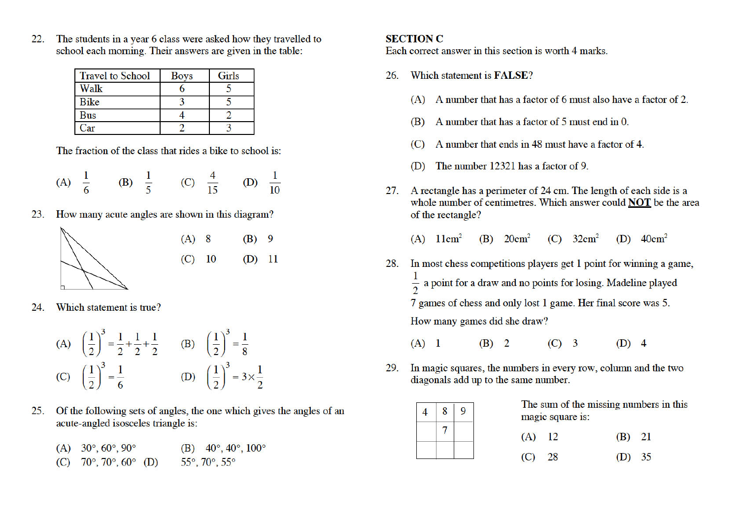The students in a year 6 class were asked how they travelled to  $22.$ school each morning. Their answers are given in the table:

| <b>Travel to School</b> | <b>Boys</b> | Girls |
|-------------------------|-------------|-------|
| Walk                    |             |       |
| <b>Bike</b>             |             |       |
| Bus                     |             |       |
| Car                     |             |       |

The fraction of the class that rides a bike to school is:

(A) 
$$
\frac{1}{6}
$$
 (B)  $\frac{1}{5}$  (C)  $\frac{4}{15}$  (D)  $\frac{1}{10}$ 

How many acute angles are shown in this diagram? 23.



Which statement is true?  $24$ 

(A) 
$$
\left(\frac{1}{2}\right)^3 = \frac{1}{2} + \frac{1}{2} + \frac{1}{2}
$$
 (B)  $\left(\frac{1}{2}\right)^3 = \frac{1}{8}$   
(C)  $\left(\frac{1}{2}\right)^3 = \frac{1}{6}$  (D)  $\left(\frac{1}{2}\right)^3 = 3 \times \frac{1}{2}$ 

- $25.$ Of the following sets of angles, the one which gives the angles of an acute-angled isosceles triangle is:
	- (A)  $30^{\circ}, 60^{\circ}, 90^{\circ}$ (B)  $40^{\circ}$ ,  $40^{\circ}$ ,  $100^{\circ}$
	- (C)  $70^{\circ}$ ,  $70^{\circ}$ ,  $60^{\circ}$  (D) 55° 70° 55°

#### **SECTION C**

Each correct answer in this section is worth 4 marks.

- Which statement is **FALSE**? 26.
	- (A) A number that has a factor of 6 must also have a factor of 2.
	- A number that has a factor of 5 must end in 0.  $(B)$
	- A number that ends in 48 must have a factor of 4.  $(C)$
	- The number 12321 has a factor of 9. (D)
- 27. A rectangle has a perimeter of 24 cm. The length of each side is a whole number of centimetres. Which answer could **NOT** be the area of the rectangle?

 $(A)$   $11cm<sup>2</sup>$  $(B)$  20 $cm<sup>2</sup>$  $(C)$  32cm<sup>2</sup> (D)  $40 \text{cm}^2$ 

- In most chess competitions players get 1 point for winning a game, 28.  $\frac{1}{2}$  a point for a draw and no points for losing. Madeline played 7 games of chess and only lost 1 game. Her final score was 5. How many games did she draw?
	- $(B)$  2  $(C)$  3  $(D)$  4  $(A)$  1
- In magic squares, the numbers in every row, column and the two 29. diagonals add up to the same number.



The sum of the missing numbers in this magic square is:

| $(A)$ 12 | $(B)$ 21 |  |
|----------|----------|--|
| $(C)$ 28 | (D) 35   |  |